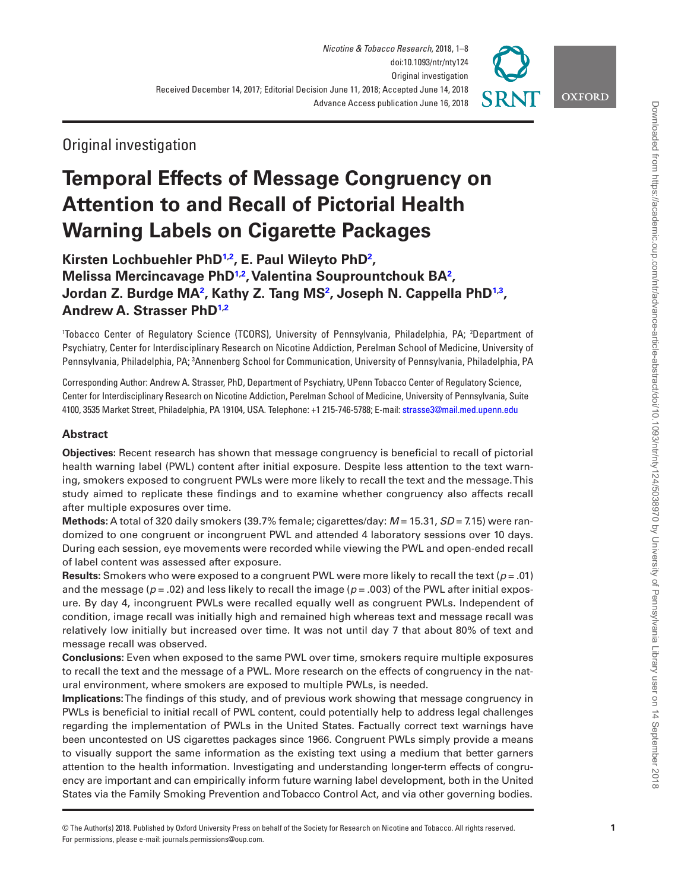

**OXFORD** 

# Original investigation

# **Temporal Effects of Message Congruency on Attention to and Recall of Pictorial Health Warning Labels on Cigarette Packages**

**Kirsten Lochbuehler PhD[1](#page-0-0)[,2](#page-0-1) , E. Paul Wileyto Ph[D2](#page-0-1) , Melissa Mercincavage Ph[D1](#page-0-0),[2](#page-0-1) , Valentina Souprountchouk B[A2](#page-0-1) , Jordan Z. Burdge MA[2](#page-0-1) , Kathy Z. Tang MS[2](#page-0-1) , Joseph N. Cappella PhD[1](#page-0-0)[,3](#page-0-2) , Andrew A. Strasser Ph[D1,](#page-0-0)[2](#page-0-1)**

<span id="page-0-1"></span><span id="page-0-0"></span>'Tobacco Center of Regulatory Science (TCORS), University of Pennsylvania, Philadelphia, PA; <sup>2</sup>Department of Psychiatry, Center for Interdisciplinary Research on Nicotine Addiction, Perelman School of Medicine, University of Pennsylvania, Philadelphia, PA; <sup>3</sup>Annenberg School for Communication, University of Pennsylvania, Philadelphia, PA

<span id="page-0-2"></span>Corresponding Author: Andrew A. Strasser, PhD, Department of Psychiatry, UPenn Tobacco Center of Regulatory Science, Center for Interdisciplinary Research on Nicotine Addiction, Perelman School of Medicine, University of Pennsylvania, Suite 4100, 3535 Market Street, Philadelphia, PA 19104, USA. Telephone: +1 215-746-5788; E-mail: [strasse3@mail.med.upenn.edu](mailto:strasse3@mail.med.upenn.edu?subject=)

# **Abstract**

**Objectives:** Recent research has shown that message congruency is beneficial to recall of pictorial health warning label (PWL) content after initial exposure. Despite less attention to the text warning, smokers exposed to congruent PWLs were more likely to recall the text and the message. This study aimed to replicate these findings and to examine whether congruency also affects recall after multiple exposures over time.

**Methods:** A total of 320 daily smokers (39.7% female; cigarettes/day: *M* = 15.31, *SD* = 7.15) were randomized to one congruent or incongruent PWL and attended 4 laboratory sessions over 10 days. During each session, eye movements were recorded while viewing the PWL and open-ended recall of label content was assessed after exposure.

**Results:** Smokers who were exposed to a congruent PWL were more likely to recall the text (*p* = .01) and the message (*p* = .02) and less likely to recall the image (*p* = .003) of the PWL after initial exposure. By day 4, incongruent PWLs were recalled equally well as congruent PWLs. Independent of condition, image recall was initially high and remained high whereas text and message recall was relatively low initially but increased over time. It was not until day 7 that about 80% of text and message recall was observed.

**Conclusions:** Even when exposed to the same PWL over time, smokers require multiple exposures to recall the text and the message of a PWL. More research on the effects of congruency in the natural environment, where smokers are exposed to multiple PWLs, is needed.

**Implications:** The findings of this study, and of previous work showing that message congruency in PWLs is beneficial to initial recall of PWL content, could potentially help to address legal challenges regarding the implementation of PWLs in the United States. Factually correct text warnings have been uncontested on US cigarettes packages since 1966. Congruent PWLs simply provide a means to visually support the same information as the existing text using a medium that better garners attention to the health information. Investigating and understanding longer-term effects of congruency are important and can empirically inform future warning label development, both in the United States via the Family Smoking Prevention and Tobacco Control Act, and via other governing bodies.

<sup>©</sup> The Author(s) 2018. Published by Oxford University Press on behalf of the Society for Research on Nicotine and Tobacco. All rights reserved. For permissions, please e-mail: journals.permissions@oup.com.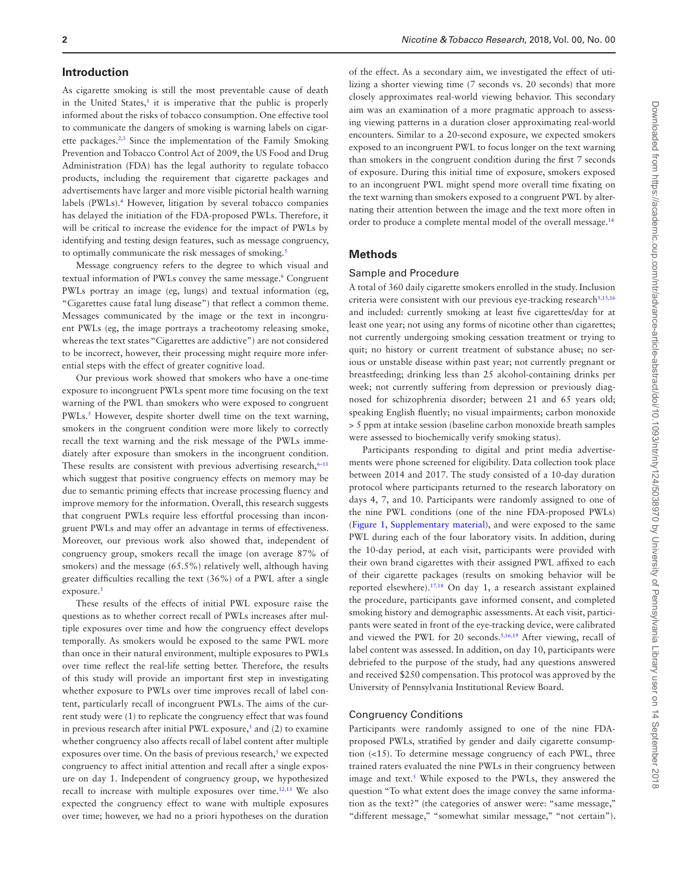#### **Introduction**

As cigarette smoking is still the most preventable cause of death in the United States,<sup>[1](#page-6-0)</sup> it is imperative that the public is properly informed about the risks of tobacco consumption. One effective tool to communicate the dangers of smoking is warning labels on cigar-ette packages.<sup>[2](#page-6-1),[3](#page-6-2)</sup> Since the implementation of the Family Smoking Prevention and Tobacco Control Act of 2009, the US Food and Drug Administration (FDA) has the legal authority to regulate tobacco products, including the requirement that cigarette packages and advertisements have larger and more visible pictorial health warning labels (PWLs).[4](#page-6-3) However, litigation by several tobacco companies has delayed the initiation of the FDA-proposed PWLs. Therefore, it will be critical to increase the evidence for the impact of PWLs by identifying and testing design features, such as message congruency, to optimally communicate the risk messages of smoking.<sup>[5](#page-6-4)</sup>

Message congruency refers to the degree to which visual and textual information of PWLs convey the same message.<sup>[6](#page-6-5)</sup> Congruent PWLs portray an image (eg, lungs) and textual information (eg, "Cigarettes cause fatal lung disease") that reflect a common theme. Messages communicated by the image or the text in incongruent PWLs (eg, the image portrays a tracheotomy releasing smoke, whereas the text states "Cigarettes are addictive") are not considered to be incorrect, however, their processing might require more inferential steps with the effect of greater cognitive load.

Our previous work showed that smokers who have a one-time exposure to incongruent PWLs spent more time focusing on the text warning of the PWL than smokers who were exposed to congruent PWLs.<sup>5</sup> However, despite shorter dwell time on the text warning, smokers in the congruent condition were more likely to correctly recall the text warning and the risk message of the PWLs immediately after exposure than smokers in the incongruent condition. These results are consistent with previous advertising research, $6-11$ which suggest that positive congruency effects on memory may be due to semantic priming effects that increase processing fluency and improve memory for the information. Overall, this research suggests that congruent PWLs require less effortful processing than incongruent PWLs and may offer an advantage in terms of effectiveness. Moreover, our previous work also showed that, independent of congruency group, smokers recall the image (on average 87% of smokers) and the message (65.5%) relatively well, although having greater difficulties recalling the text (36%) of a PWL after a single exposure.<sup>[5](#page-6-4)</sup>

These results of the effects of initial PWL exposure raise the questions as to whether correct recall of PWLs increases after multiple exposures over time and how the congruency effect develops temporally. As smokers would be exposed to the same PWL more than once in their natural environment, multiple exposures to PWLs over time reflect the real-life setting better. Therefore, the results of this study will provide an important first step in investigating whether exposure to PWLs over time improves recall of label content, particularly recall of incongruent PWLs. The aims of the current study were (1) to replicate the congruency effect that was found in previous research after initial PWL exposure,<sup>[5](#page-6-4)</sup> and (2) to examine whether congruency also affects recall of label content after multiple exposures over time. On the basis of previous research, $<sup>5</sup>$  we expected</sup> congruency to affect initial attention and recall after a single exposure on day 1. Independent of congruency group, we hypothesized recall to increase with multiple exposures over time.<sup>12,13</sup> We also expected the congruency effect to wane with multiple exposures over time; however, we had no a priori hypotheses on the duration

of the effect. As a secondary aim, we investigated the effect of utilizing a shorter viewing time (7 seconds vs. 20 seconds) that more closely approximates real-world viewing behavior. This secondary aim was an examination of a more pragmatic approach to assessing viewing patterns in a duration closer approximating real-world encounters. Similar to a 20-second exposure, we expected smokers exposed to an incongruent PWL to focus longer on the text warning than smokers in the congruent condition during the first 7 seconds of exposure. During this initial time of exposure, smokers exposed to an incongruent PWL might spend more overall time fixating on the text warning than smokers exposed to a congruent PWL by alternating their attention between the image and the text more often in order to produce a complete mental model of the overall message[.14](#page-6-8)

#### **Methods**

#### Sample and Procedure

A total of 360 daily cigarette smokers enrolled in the study. Inclusion criteria were consistent with our previous eye-tracking research<sup>5,[15](#page-6-9)[,16](#page-6-10)</sup> and included: currently smoking at least five cigarettes/day for at least one year; not using any forms of nicotine other than cigarettes; not currently undergoing smoking cessation treatment or trying to quit; no history or current treatment of substance abuse; no serious or unstable disease within past year; not currently pregnant or breastfeeding; drinking less than 25 alcohol-containing drinks per week; not currently suffering from depression or previously diagnosed for schizophrenia disorder; between 21 and 65 years old; speaking English fluently; no visual impairments; carbon monoxide > 5 ppm at intake session (baseline carbon monoxide breath samples were assessed to biochemically verify smoking status).

Participants responding to digital and print media advertisements were phone screened for eligibility. Data collection took place between 2014 and 2017. The study consisted of a 10-day duration protocol where participants returned to the research laboratory on days 4, 7, and 10. Participants were randomly assigned to one of the nine PWL conditions (one of the nine FDA-proposed PWLs) [\(Figure 1, Supplementary material](http://academic.oup.com/ntr/article-lookup/doi/10.1093/ntr/nty124#supplementary-data)), and were exposed to the same PWL during each of the four laboratory visits. In addition, during the 10-day period, at each visit, participants were provided with their own brand cigarettes with their assigned PWL affixed to each of their cigarette packages (results on smoking behavior will be reported elsewhere).[17](#page-6-11)[,18](#page-6-12) On day 1, a research assistant explained the procedure, participants gave informed consent, and completed smoking history and demographic assessments. At each visit, participants were seated in front of the eye-tracking device, were calibrated and viewed the PWL for 20 seconds.<sup>[5](#page-6-4),[16,](#page-6-10)[19](#page-6-13)</sup> After viewing, recall of label content was assessed. In addition, on day 10, participants were debriefed to the purpose of the study, had any questions answered and received \$250 compensation. This protocol was approved by the University of Pennsylvania Institutional Review Board.

#### Congruency Conditions

Participants were randomly assigned to one of the nine FDAproposed PWLs, stratified by gender and daily cigarette consumption (<15). To determine message congruency of each PWL, three trained raters evaluated the nine PWLs in their congruency between image and text.<sup>[5](#page-6-4)</sup> While exposed to the PWLs, they answered the question "To what extent does the image convey the same information as the text?" (the categories of answer were: "same message," "different message," "somewhat similar message," "not certain").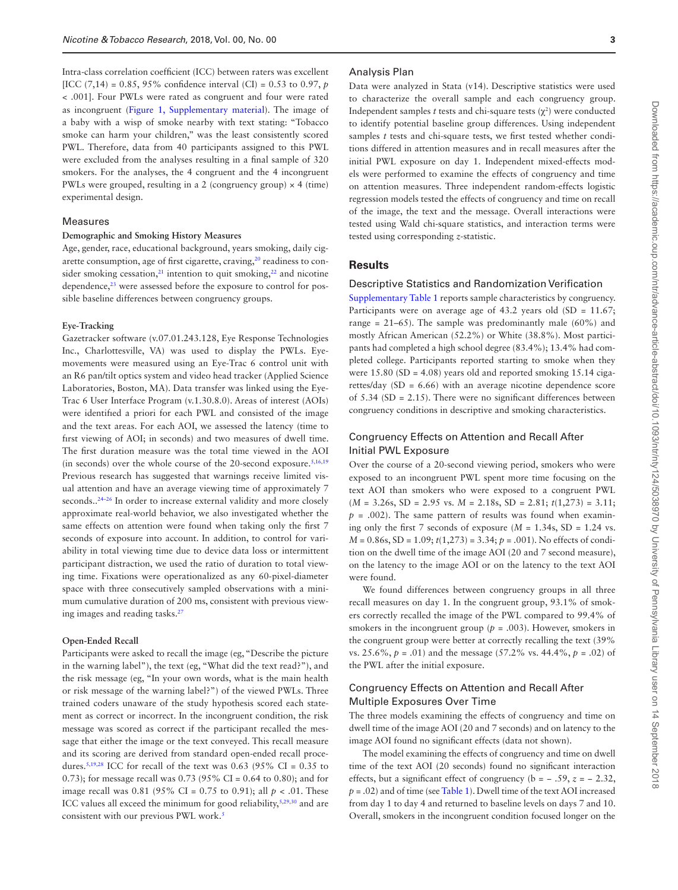Intra-class correlation coefficient (ICC) between raters was excellent [ICC (7,14) = 0.85, 95% confidence interval (CI) = 0.53 to 0.97, *p* < .001]. Four PWLs were rated as congruent and four were rated as incongruent [\(Figure 1, Supplementary material](http://academic.oup.com/ntr/article-lookup/doi/10.1093/ntr/nty124#supplementary-data)). The image of a baby with a wisp of smoke nearby with text stating: "Tobacco smoke can harm your children," was the least consistently scored PWL. Therefore, data from 40 participants assigned to this PWL were excluded from the analyses resulting in a final sample of 320 smokers. For the analyses, the 4 congruent and the 4 incongruent PWLs were grouped, resulting in a 2 (congruency group)  $\times$  4 (time) experimental design.

#### Measures

#### **Demographic and Smoking History Measures**

Age, gender, race, educational background, years smoking, daily cigarette consumption, age of first cigarette, craving,<sup>20</sup> readiness to consider smoking cessation, $21$  intention to quit smoking, $22$  and nicotine dependence,<sup>[23](#page-6-17)</sup> were assessed before the exposure to control for possible baseline differences between congruency groups.

#### **Eye-Tracking**

Gazetracker software (v.07.01.243.128, Eye Response Technologies Inc., Charlottesville, VA) was used to display the PWLs. Eyemovements were measured using an Eye-Trac 6 control unit with an R6 pan/tilt optics system and video head tracker (Applied Science Laboratories, Boston, MA). Data transfer was linked using the Eye-Trac 6 User Interface Program (v.1.30.8.0). Areas of interest (AOIs) were identifıed a priori for each PWL and consisted of the image and the text areas. For each AOI, we assessed the latency (time to fırst viewing of AOI; in seconds) and two measures of dwell time. The first duration measure was the total time viewed in the AOI (in seconds) over the whole course of the 20-second exposure. $5,16,19$  $5,16,19$  $5,16,19$ Previous research has suggested that warnings receive limited visual attention and have an average viewing time of approximately 7 seconds..<sup>24-26</sup> In order to increase external validity and more closely approximate real-world behavior, we also investigated whether the same effects on attention were found when taking only the first 7 seconds of exposure into account. In addition, to control for variability in total viewing time due to device data loss or intermittent participant distraction, we used the ratio of duration to total viewing time. Fixations were operationalized as any 60-pixel-diameter space with three consecutively sampled observations with a minimum cumulative duration of 200 ms, consistent with previous view-ing images and reading tasks.<sup>[27](#page-6-19)</sup>

#### **Open-Ended Recall**

Participants were asked to recall the image (eg, "Describe the picture in the warning label"), the text (eg, "What did the text read?"), and the risk message (eg, "In your own words, what is the main health or risk message of the warning label?") of the viewed PWLs. Three trained coders unaware of the study hypothesis scored each statement as correct or incorrect. In the incongruent condition, the risk message was scored as correct if the participant recalled the message that either the image or the text conveyed. This recall measure and its scoring are derived from standard open-ended recall proce-dures.<sup>[5](#page-6-4)[,19,](#page-6-13)[28](#page-6-20)</sup> ICC for recall of the text was 0.63 (95% CI = 0.35 to 0.73); for message recall was 0.73 (95% CI = 0.64 to 0.80); and for image recall was 0.81 (95% CI = 0.75 to 0.91); all *p* < .01. These ICC values all exceed the minimum for good reliability, $5,29,30$  $5,29,30$  $5,29,30$  and are consistent with our previous PWL work.<sup>[5](#page-6-4)</sup>

#### Analysis Plan

Data were analyzed in Stata (v14). Descriptive statistics were used to characterize the overall sample and each congruency group. Independent samples *t* tests and chi-square tests  $(\chi^2)$  were conducted to identify potential baseline group differences. Using independent samples *t* tests and chi-square tests, we first tested whether conditions differed in attention measures and in recall measures after the initial PWL exposure on day 1. Independent mixed-effects models were performed to examine the effects of congruency and time on attention measures. Three independent random-effects logistic regression models tested the effects of congruency and time on recall of the image, the text and the message. Overall interactions were tested using Wald chi-square statistics, and interaction terms were tested using corresponding *z*-statistic.

#### **Results**

#### Descriptive Statistics and Randomization Verification

[Supplementary Table 1](http://academic.oup.com/ntr/article-lookup/doi/10.1093/ntr/nty124#supplementary-data) reports sample characteristics by congruency. Participants were on average age of 43.2 years old  $(SD = 11.67;$ range =  $21-65$ ). The sample was predominantly male (60%) and mostly African American (52.2%) or White (38.8%). Most participants had completed a high school degree (83.4%); 13.4% had completed college. Participants reported starting to smoke when they were  $15.80$  (SD = 4.08) years old and reported smoking  $15.14$  cigarettes/day (SD = 6.66) with an average nicotine dependence score of 5.34 (SD = 2.15). There were no significant differences between congruency conditions in descriptive and smoking characteristics.

### Congruency Effects on Attention and Recall After Initial PWL Exposure

Over the course of a 20-second viewing period, smokers who were exposed to an incongruent PWL spent more time focusing on the text AOI than smokers who were exposed to a congruent PWL  $(M = 3.26s, SD = 2.95 \text{ vs. } M = 2.18s, SD = 2.81; t(1,273) = 3.11;$  $p = .002$ ). The same pattern of results was found when examining only the first 7 seconds of exposure  $(M = 1.34s, SD = 1.24$  vs. *M* = 0.86s, SD = 1.09; *t*(1,273) = 3.34; *p* = .001). No effects of condition on the dwell time of the image AOI (20 and 7 second measure), on the latency to the image AOI or on the latency to the text AOI were found.

We found differences between congruency groups in all three recall measures on day 1. In the congruent group, 93.1% of smokers correctly recalled the image of the PWL compared to 99.4% of smokers in the incongruent group ( $p = .003$ ). However, smokers in the congruent group were better at correctly recalling the text (39% vs. 25.6%, *p* = .01) and the message (57.2% vs. 44.4%, *p* = .02) of the PWL after the initial exposure.

# Congruency Effects on Attention and Recall After Multiple Exposures Over Time

The three models examining the effects of congruency and time on dwell time of the image AOI (20 and 7 seconds) and on latency to the image AOI found no significant effects (data not shown).

The model examining the effects of congruency and time on dwell time of the text AOI (20 seconds) found no significant interaction effects, but a significant effect of congruency ( $b = -0.59$ ,  $z = -0.232$ ,  $p = .02$ ) and of time (see [Table 1\)](#page-3-0). Dwell time of the text AOI increased from day 1 to day 4 and returned to baseline levels on days 7 and 10. Overall, smokers in the incongruent condition focused longer on the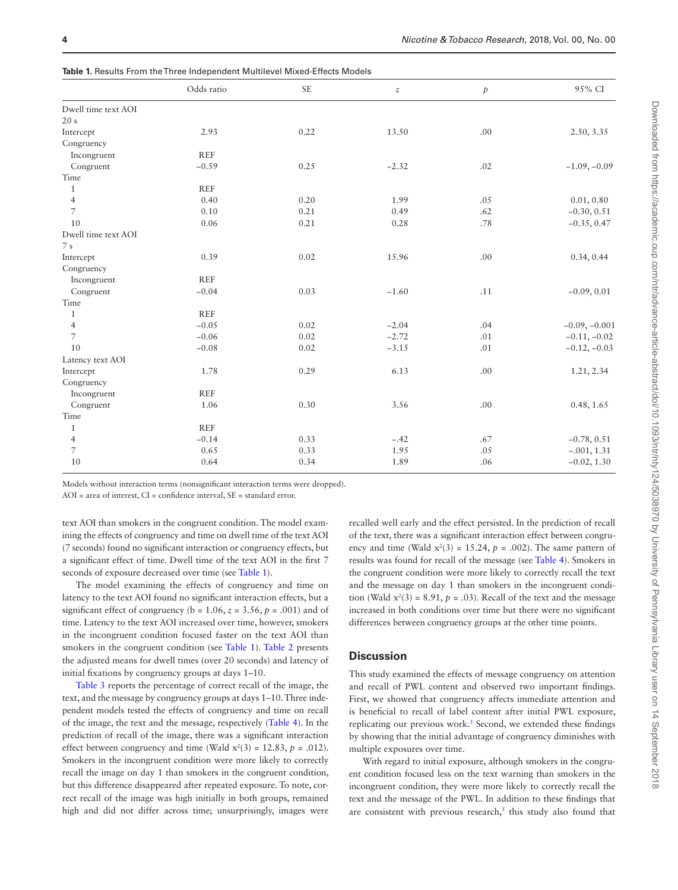|                     | Odds ratio | <b>SE</b> | $\boldsymbol{z}$ | $\mathcal{P}$ | 95% CI          |
|---------------------|------------|-----------|------------------|---------------|-----------------|
| Dwell time text AOI |            |           |                  |               |                 |
| 20 s                |            |           |                  |               |                 |
| Intercept           | 2.93       | 0.22      | 13.50            | .00           | 2.50, 3.35      |
| Congruency          |            |           |                  |               |                 |
| Incongruent         | <b>REF</b> |           |                  |               |                 |
| Congruent           | $-0.59$    | 0.25      | $-2.32$          | .02           | $-1.09, -0.09$  |
| Time                |            |           |                  |               |                 |
| $\mathbf{1}$        | <b>REF</b> |           |                  |               |                 |
| $\overline{4}$      | 0.40       | 0.20      | 1.99             | .05           | 0.01, 0.80      |
| $\overline{7}$      | 0.10       | 0.21      | 0.49             | .62           | $-0.30, 0.51$   |
| 10                  | 0.06       | 0.21      | 0.28             | .78           | $-0.35, 0.47$   |
| Dwell time text AOI |            |           |                  |               |                 |
| 7s                  |            |           |                  |               |                 |
| Intercept           | 0.39       | 0.02      | 15.96            | .00           | 0.34, 0.44      |
| Congruency          |            |           |                  |               |                 |
| Incongruent         | <b>REF</b> |           |                  |               |                 |
| Congruent           | $-0.04$    | 0.03      | $-1.60$          | .11           | $-0.09, 0.01$   |
| Time                |            |           |                  |               |                 |
| 1                   | <b>REF</b> |           |                  |               |                 |
| $\overline{4}$      | $-0.05$    | 0.02      | $-2.04$          | .04           | $-0.09, -0.001$ |
| $\overline{7}$      | $-0.06$    | 0.02      | $-2.72$          | .01           | $-0.11, -0.02$  |
| 10                  | $-0.08$    | 0.02      | $-3.15$          | .01           | $-0.12, -0.03$  |
| Latency text AOI    |            |           |                  |               |                 |
| Intercept           | 1.78       | 0.29      | 6.13             | .00           | 1.21, 2.34      |
| Congruency          |            |           |                  |               |                 |
| Incongruent         | <b>REF</b> |           |                  |               |                 |
| Congruent           | 1.06       | 0.30      | 3.56             | .00           | 0.48, 1.65      |
| Time                |            |           |                  |               |                 |
| $\mathbf{1}$        | <b>REF</b> |           |                  |               |                 |
| $\overline{4}$      | $-0.14$    | 0.33      | $-.42$           | .67           | $-0.78, 0.51$   |
| $\overline{7}$      | 0.65       | 0.33      | 1.95             | .05           | $-.001, 1.31$   |
| 10                  | 0.64       | 0.34      | 1.89             | .06           | $-0.02, 1.30$   |
|                     |            |           |                  |               |                 |

<span id="page-3-0"></span>**Table 1.** Results From the Three Independent Multilevel Mixed-Effects Models

Models without interaction terms (nonsignificant interaction terms were dropped).

AOI = area of interest, CI = confidence interval, SE = standard error.

text AOI than smokers in the congruent condition. The model examining the effects of congruency and time on dwell time of the text AOI (7 seconds) found no significant interaction or congruency effects, but a significant effect of time. Dwell time of the text AOI in the first 7 seconds of exposure decreased over time (see [Table 1\)](#page-3-0).

The model examining the effects of congruency and time on latency to the text AOI found no significant interaction effects, but a significant effect of congruency ( $b = 1.06$ ,  $z = 3.56$ ,  $p = .001$ ) and of time. Latency to the text AOI increased over time, however, smokers in the incongruent condition focused faster on the text AOI than smokers in the congruent condition (see [Table 1](#page-3-0)). [Table 2](#page-4-0) presents the adjusted means for dwell times (over 20 seconds) and latency of initial fixations by congruency groups at days 1–10.

[Table 3](#page-4-1) reports the percentage of correct recall of the image, the text, and the message by congruency groups at days 1–10. Three independent models tested the effects of congruency and time on recall of the image, the text and the message, respectively ([Table 4](#page-4-2)). In the prediction of recall of the image, there was a significant interaction effect between congruency and time (Wald  $x^2(3) = 12.83$ ,  $p = .012$ ). Smokers in the incongruent condition were more likely to correctly recall the image on day 1 than smokers in the congruent condition, but this difference disappeared after repeated exposure. To note, correct recall of the image was high initially in both groups, remained high and did not differ across time; unsurprisingly, images were

recalled well early and the effect persisted. In the prediction of recall of the text, there was a significant interaction effect between congruency and time (Wald  $x^2(3) = 15.24$ ,  $p = .002$ ). The same pattern of results was found for recall of the message (see [Table 4\)](#page-4-2). Smokers in the congruent condition were more likely to correctly recall the text and the message on day 1 than smokers in the incongruent condition (Wald  $x^2(3) = 8.91$ ,  $p = .03$ ). Recall of the text and the message increased in both conditions over time but there were no significant differences between congruency groups at the other time points.

#### **Discussion**

This study examined the effects of message congruency on attention and recall of PWL content and observed two important findings. First, we showed that congruency affects immediate attention and is beneficial to recall of label content after initial PWL exposure, replicating our previous work.<sup>[5](#page-6-4)</sup> Second, we extended these findings by showing that the initial advantage of congruency diminishes with multiple exposures over time.

With regard to initial exposure, although smokers in the congruent condition focused less on the text warning than smokers in the incongruent condition, they were more likely to correctly recall the text and the message of the PWL. In addition to these findings that are consistent with previous research, $<sup>5</sup>$  $<sup>5</sup>$  $<sup>5</sup>$  this study also found that</sup>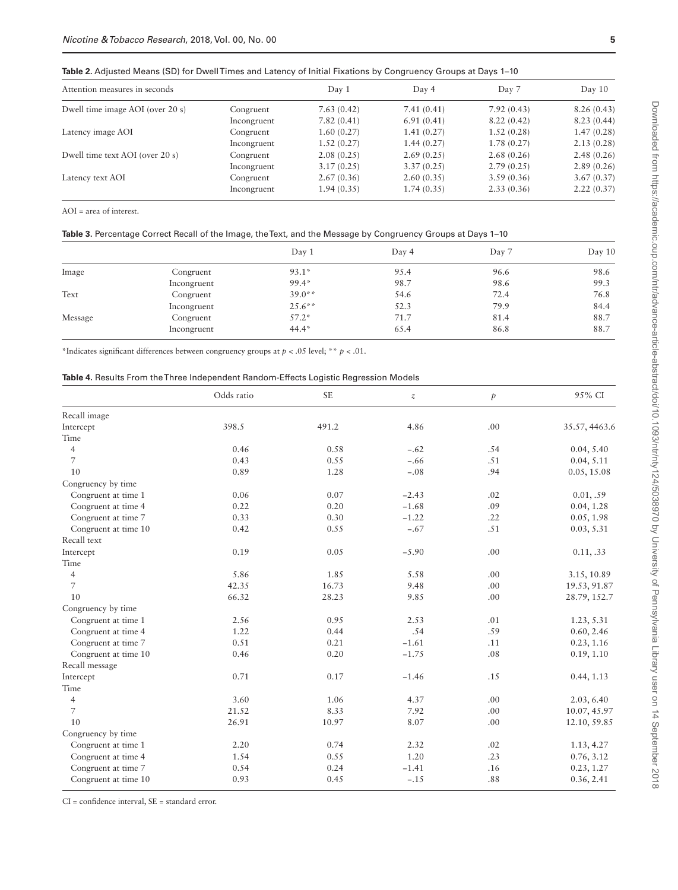<span id="page-4-0"></span>**Table 2.** Adjusted Means (SD) for Dwell Times and Latency of Initial Fixations by Congruency Groups at Days 1–10

| Attention measures in seconds    |             | Day 1      | Day 4      | Day 7      | Day 10     |  |
|----------------------------------|-------------|------------|------------|------------|------------|--|
| Dwell time image AOI (over 20 s) | Congruent   | 7.63(0.42) | 7.41(0.41) | 7.92(0.43) | 8.26(0.43) |  |
|                                  | Incongruent | 7.82(0.41) | 6.91(0.41) | 8.22(0.42) | 8.23(0.44) |  |
| Latency image AOI                | Congruent   | 1.60(0.27) | 1.41(0.27) | 1.52(0.28) | 1.47(0.28) |  |
|                                  | Incongruent | 1.52(0.27) | 1.44(0.27) | 1.78(0.27) | 2.13(0.28) |  |
| Dwell time text AOI (over 20 s)  | Congruent   | 2.08(0.25) | 2.69(0.25) | 2.68(0.26) | 2.48(0.26) |  |
|                                  | Incongruent | 3.17(0.25) | 3.37(0.25) | 2.79(0.25) | 2.89(0.26) |  |
| Latency text AOI                 | Congruent   | 2.67(0.36) | 2.60(0.35) | 3.59(0.36) | 3.67(0.37) |  |
|                                  | Incongruent | 1.94(0.35) | 1.74(0.35) | 2.33(0.36) | 2.22(0.37) |  |

AOI = area of interest.

<span id="page-4-1"></span>

| Table 3. Percentage Correct Recall of the Image, the Text, and the Message by Congruency Groups at Days 1–10 |  |  |  |
|--------------------------------------------------------------------------------------------------------------|--|--|--|
|--------------------------------------------------------------------------------------------------------------|--|--|--|

|         |             | Day 1     | Day 4 | Day 7 | Day 10 |
|---------|-------------|-----------|-------|-------|--------|
| Image   | Congruent   | $93.1*$   | 95.4  | 96.6  | 98.6   |
|         | Incongruent | 99.4*     | 98.7  | 98.6  | 99.3   |
| Text    | Congruent   | $39.0**$  | 54.6  | 72.4  | 76.8   |
|         | Incongruent | $25.6***$ | 52.3  | 79.9  | 84.4   |
| Message | Congruent   | $57.2*$   | 71.7  | 81.4  | 88.7   |
|         | Incongruent | $44.4*$   | 65.4  | 86.8  | 88.7   |

\*Indicates significant differences between congruency groups at *p* < .05 level; \*\* *p* < .01.

<span id="page-4-2"></span>

|  |  |  |  |  |  |  | <b>Table 4.</b> Results From theThree Independent Random-Effects Logistic Regression Models |  |  |  |  |  |
|--|--|--|--|--|--|--|---------------------------------------------------------------------------------------------|--|--|--|--|--|
|--|--|--|--|--|--|--|---------------------------------------------------------------------------------------------|--|--|--|--|--|

|                      | Odds ratio | <b>SE</b> | $\boldsymbol{z}$ | $\dot{p}$ | 95% CI        |
|----------------------|------------|-----------|------------------|-----------|---------------|
| Recall image         |            |           |                  |           |               |
| Intercept            | 398.5      | 491.2     | 4.86             | .00       | 35.57, 4463.6 |
| Time                 |            |           |                  |           |               |
| $\overline{4}$       | 0.46       | 0.58      | $-.62$           | .54       | 0.04, 5.40    |
| $\overline{7}$       | 0.43       | 0.55      | $-.66$           | .51       | 0.04, 5.11    |
| 10                   | 0.89       | 1.28      | $-.08$           | .94       | 0.05, 15.08   |
| Congruency by time   |            |           |                  |           |               |
| Congruent at time 1  | 0.06       | 0.07      | $-2.43$          | .02       | 0.01, .59     |
| Congruent at time 4  | 0.22       | 0.20      | $-1.68$          | .09       | 0.04, 1.28    |
| Congruent at time 7  | 0.33       | 0.30      | $-1.22$          | .22       | 0.05, 1.98    |
| Congruent at time 10 | 0.42       | 0.55      | $-.67$           | .51       | 0.03, 5.31    |
| Recall text          |            |           |                  |           |               |
| Intercept            | 0.19       | 0.05      | $-5.90$          | .00       | 0.11, .33     |
| Time                 |            |           |                  |           |               |
| $\overline{4}$       | 5.86       | 1.85      | 5.58             | .00       | 3.15, 10.89   |
| $\overline{7}$       | 42.35      | 16.73     | 9.48             | .00       | 19.53, 91.87  |
| 10                   | 66.32      | 28.23     | 9.85             | .00       | 28.79, 152.7  |
| Congruency by time   |            |           |                  |           |               |
| Congruent at time 1  | 2.56       | 0.95      | 2.53             | .01       | 1.23, 5.31    |
| Congruent at time 4  | 1.22       | 0.44      | .54              | .59       | 0.60, 2.46    |
| Congruent at time 7  | 0.51       | 0.21      | $-1.61$          | .11       | 0.23, 1.16    |
| Congruent at time 10 | 0.46       | 0.20      | $-1.75$          | .08       | 0.19, 1.10    |
| Recall message       |            |           |                  |           |               |
| Intercept            | 0.71       | 0.17      | $-1.46$          | .15       | 0.44, 1.13    |
| Time                 |            |           |                  |           |               |
| $\overline{4}$       | 3.60       | 1.06      | 4.37             | .00       | 2.03, 6.40    |
| $\overline{7}$       | 21.52      | 8.33      | 7.92             | .00       | 10.07, 45.97  |
| 10                   | 26.91      | 10.97     | 8.07             | .00       | 12.10, 59.85  |
| Congruency by time   |            |           |                  |           |               |
| Congruent at time 1  | 2.20       | 0.74      | 2.32             | .02       | 1.13, 4.27    |
| Congruent at time 4  | 1.54       | 0.55      | 1.20             | .23       | 0.76, 3.12    |
| Congruent at time 7  | 0.54       | 0.24      | $-1.41$          | .16       | 0.23, 1.27    |
| Congruent at time 10 | 0.93       | 0.45      | $-.15$           | .88       | 0.36, 2.41    |

CI = confidence interval, SE = standard error.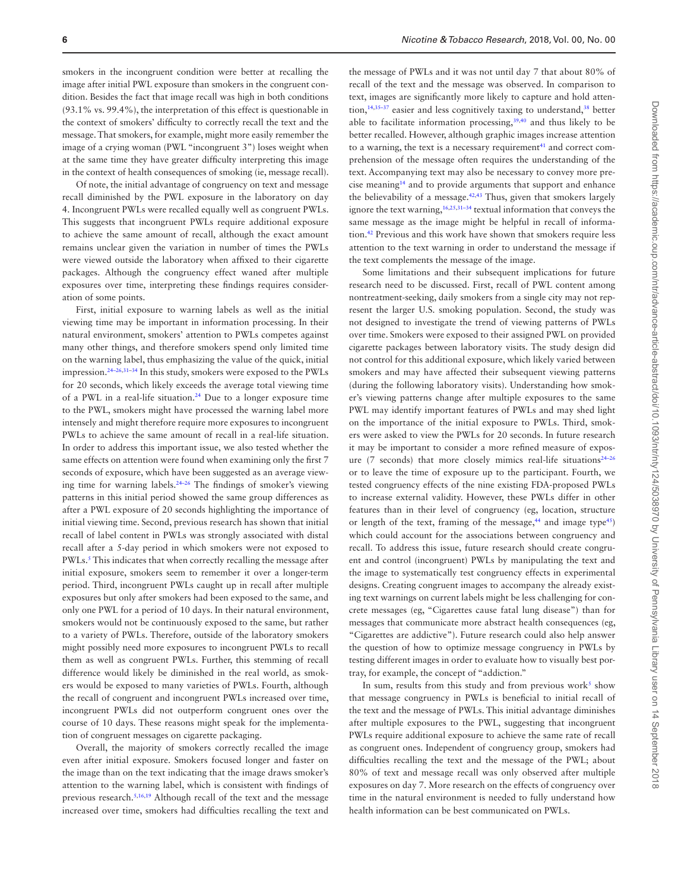smokers in the incongruent condition were better at recalling the image after initial PWL exposure than smokers in the congruent condition. Besides the fact that image recall was high in both conditions (93.1% vs. 99.4%), the interpretation of this effect is questionable in the context of smokers' difficulty to correctly recall the text and the message. That smokers, for example, might more easily remember the image of a crying woman (PWL "incongruent 3") loses weight when at the same time they have greater difficulty interpreting this image in the context of health consequences of smoking (ie, message recall).

Of note, the initial advantage of congruency on text and message recall diminished by the PWL exposure in the laboratory on day 4. Incongruent PWLs were recalled equally well as congruent PWLs. This suggests that incongruent PWLs require additional exposure to achieve the same amount of recall, although the exact amount remains unclear given the variation in number of times the PWLs were viewed outside the laboratory when affixed to their cigarette packages. Although the congruency effect waned after multiple exposures over time, interpreting these findings requires consideration of some points.

First, initial exposure to warning labels as well as the initial viewing time may be important in information processing. In their natural environment, smokers' attention to PWLs competes against many other things, and therefore smokers spend only limited time on the warning label, thus emphasizing the value of the quick, initial impression[.24–26](#page-6-18)[,31](#page-6-23)–[34](#page-6-24) In this study, smokers were exposed to the PWLs for 20 seconds, which likely exceeds the average total viewing time of a PWL in a real-life situation[.24](#page-6-18) Due to a longer exposure time to the PWL, smokers might have processed the warning label more intensely and might therefore require more exposures to incongruent PWLs to achieve the same amount of recall in a real-life situation. In order to address this important issue, we also tested whether the same effects on attention were found when examining only the first 7 seconds of exposure, which have been suggested as an average viewing time for warning labels.[24–26](#page-6-18) The findings of smoker's viewing patterns in this initial period showed the same group differences as after a PWL exposure of 20 seconds highlighting the importance of initial viewing time. Second, previous research has shown that initial recall of label content in PWLs was strongly associated with distal recall after a 5-day period in which smokers were not exposed to PWLs.<sup>5</sup> This indicates that when correctly recalling the message after initial exposure, smokers seem to remember it over a longer-term period. Third, incongruent PWLs caught up in recall after multiple exposures but only after smokers had been exposed to the same, and only one PWL for a period of 10 days. In their natural environment, smokers would not be continuously exposed to the same, but rather to a variety of PWLs. Therefore, outside of the laboratory smokers might possibly need more exposures to incongruent PWLs to recall them as well as congruent PWLs. Further, this stemming of recall difference would likely be diminished in the real world, as smokers would be exposed to many varieties of PWLs. Fourth, although the recall of congruent and incongruent PWLs increased over time, incongruent PWLs did not outperform congruent ones over the course of 10 days. These reasons might speak for the implementation of congruent messages on cigarette packaging.

Overall, the majority of smokers correctly recalled the image even after initial exposure. Smokers focused longer and faster on the image than on the text indicating that the image draws smoker's attention to the warning label, which is consistent with findings of previous research[.5](#page-6-4)[,16](#page-6-10),[19](#page-6-13) Although recall of the text and the message increased over time, smokers had difficulties recalling the text and

the message of PWLs and it was not until day 7 that about 80% of recall of the text and the message was observed. In comparison to text, images are significantly more likely to capture and hold atten-tion,<sup>[14,](#page-6-8)35–37</sup> easier and less cognitively taxing to understand,<sup>38</sup> better able to facilitate information processing,[39](#page-7-1)[,40](#page-7-2) and thus likely to be better recalled. However, although graphic images increase attention to a warning, the text is a necessary requirement $41$  and correct comprehension of the message often requires the understanding of the text. Accompanying text may also be necessary to convey more precise meanin[g14](#page-6-8) and to provide arguments that support and enhance the believability of a message.[42](#page-7-4)[,43](#page-7-5) Thus, given that smokers largely ignore the text warning,[16](#page-6-10)[,25](#page-6-26),[31–34](#page-6-23) textual information that conveys the same message as the image might be helpful in recall of information.[42](#page-7-4) Previous and this work have shown that smokers require less attention to the text warning in order to understand the message if the text complements the message of the image.

Some limitations and their subsequent implications for future research need to be discussed. First, recall of PWL content among nontreatment-seeking, daily smokers from a single city may not represent the larger U.S. smoking population. Second, the study was not designed to investigate the trend of viewing patterns of PWLs over time. Smokers were exposed to their assigned PWL on provided cigarette packages between laboratory visits. The study design did not control for this additional exposure, which likely varied between smokers and may have affected their subsequent viewing patterns (during the following laboratory visits). Understanding how smoker's viewing patterns change after multiple exposures to the same PWL may identify important features of PWLs and may shed light on the importance of the initial exposure to PWLs. Third, smokers were asked to view the PWLs for 20 seconds. In future research it may be important to consider a more refined measure of exposure (7 seconds) that more closely mimics real-life situations<sup>24-26</sup> or to leave the time of exposure up to the participant. Fourth, we tested congruency effects of the nine existing FDA-proposed PWLs to increase external validity. However, these PWLs differ in other features than in their level of congruency (eg, location, structure or length of the text, framing of the message, $44$  and image type $45$ ) which could account for the associations between congruency and recall. To address this issue, future research should create congruent and control (incongruent) PWLs by manipulating the text and the image to systematically test congruency effects in experimental designs. Creating congruent images to accompany the already existing text warnings on current labels might be less challenging for concrete messages (eg, "Cigarettes cause fatal lung disease") than for messages that communicate more abstract health consequences (eg, "Cigarettes are addictive"). Future research could also help answer the question of how to optimize message congruency in PWLs by testing different images in order to evaluate how to visually best portray, for example, the concept of "addiction."

In sum, results from this study and from previous work<sup>[5](#page-6-4)</sup> show that message congruency in PWLs is beneficial to initial recall of the text and the message of PWLs. This initial advantage diminishes after multiple exposures to the PWL, suggesting that incongruent PWLs require additional exposure to achieve the same rate of recall as congruent ones. Independent of congruency group, smokers had difficulties recalling the text and the message of the PWL; about 80% of text and message recall was only observed after multiple exposures on day 7. More research on the effects of congruency over time in the natural environment is needed to fully understand how health information can be best communicated on PWLs.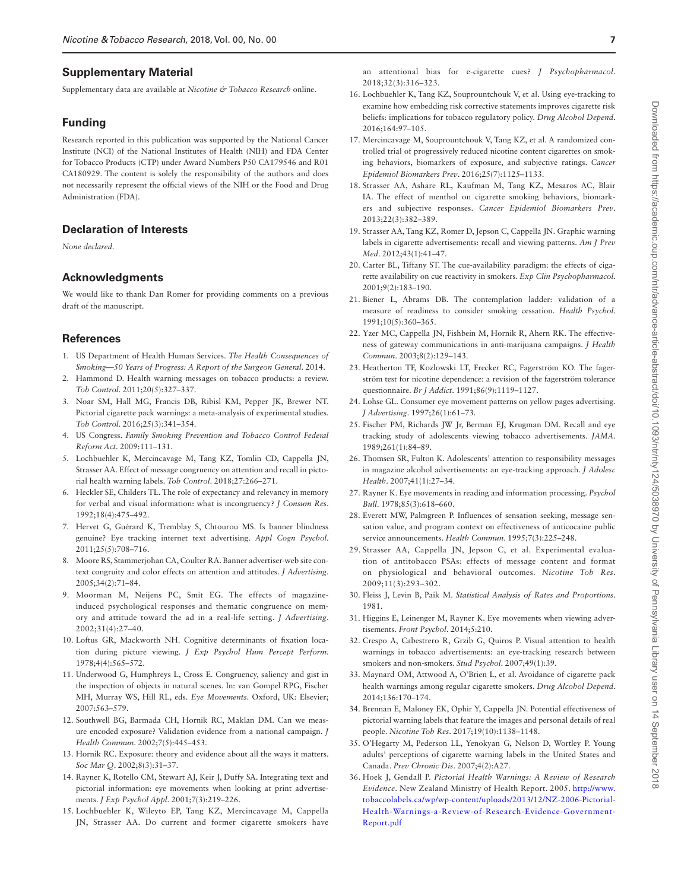#### **Supplementary Material**

Supplementary data are available at *Nicotine & Tobacco Research* online.

#### **Funding**

Research reported in this publication was supported by the National Cancer Institute (NCI) of the National Institutes of Health (NIH) and FDA Center for Tobacco Products (CTP) under Award Numbers P50 CA179546 and R01 CA180929. The content is solely the responsibility of the authors and does not necessarily represent the official views of the NIH or the Food and Drug Administration (FDA).

# **Declaration of Interests**

*None declared.*

#### **Acknowledgments**

We would like to thank Dan Romer for providing comments on a previous draft of the manuscript.

#### **References**

- <span id="page-6-0"></span>1. US Department of Health Human Services. *The Health Consequences of Smoking—50 Years of Progress: A Report of the Surgeon General*. 2014.
- <span id="page-6-1"></span>2. Hammond D. Health warning messages on tobacco products: a review. *Tob Control*. 2011;20(5):327–337.
- <span id="page-6-2"></span>3. Noar SM, Hall MG, Francis DB, Ribisl KM, Pepper JK, Brewer NT. Pictorial cigarette pack warnings: a meta-analysis of experimental studies. *Tob Control*. 2016;25(3):341–354.
- <span id="page-6-3"></span>4. US Congress. *Family Smoking Prevention and Tobacco Control Federal Reform Act*. 2009:111–131.
- <span id="page-6-4"></span>5. Lochbuehler K, Mercincavage M, Tang KZ, Tomlin CD, Cappella JN, Strasser AA. Effect of message congruency on attention and recall in pictorial health warning labels. *Tob Control*. 2018;27:266–271.
- <span id="page-6-5"></span>6. Heckler SE, Childers TL. The role of expectancy and relevancy in memory for verbal and visual information: what is incongruency? *J Consum Res*. 1992;18(4):475–492.
- 7. Hervet G, Guérard K, Tremblay S, Chtourou MS. Is banner blindness genuine? Eye tracking internet text advertising. *Appl Cogn Psychol*. 2011;25(5):708–716.
- 8. Moore RS, Stammerjohan CA, Coulter RA. Banner advertiser-web site context congruity and color effects on attention and attitudes. *J Advertising*. 2005;34(2):71–84.
- 9. Moorman M, Neijens PC, Smit EG. The effects of magazineinduced psychological responses and thematic congruence on memory and attitude toward the ad in a real-life setting. *J Advertising*. 2002;31(4):27–40.
- 10. Loftus GR, Mackworth NH. Cognitive determinants of fixation location during picture viewing. *J Exp Psychol Hum Percept Perform*. 1978;4(4):565–572.
- 11. Underwood G, Humphreys L, Cross E. Congruency, saliency and gist in the inspection of objects in natural scenes. In: van Gompel RPG, Fischer MH, Murray WS, Hill RL, eds. *Eye Movements*. Oxford, UK: Elsevier; 2007:563–579.
- <span id="page-6-6"></span>12. Southwell BG, Barmada CH, Hornik RC, Maklan DM. Can we measure encoded exposure? Validation evidence from a national campaign. *J Health Commun*. 2002;7(5):445–453.
- <span id="page-6-7"></span>13. Hornik RC. Exposure: theory and evidence about all the ways it matters. *Soc Mar Q*. 2002;8(3):31–37.
- <span id="page-6-8"></span>14. Rayner K, Rotello CM, Stewart AJ, Keir J, Duffy SA. Integrating text and pictorial information: eye movements when looking at print advertisements. *J Exp Psychol Appl*. 2001;7(3):219–226.
- <span id="page-6-9"></span>15. Lochbuehler K, Wileyto EP, Tang KZ, Mercincavage M, Cappella JN, Strasser AA. Do current and former cigarette smokers have

Downloaded from https://academic.oup.com/ntr/advance-article-abstract/doi/10.1093/htt/hty124/5038970 by University of Pennsylvania Library user on 14 September 2018 Downloaded from https://academic.oup.com/ntr/advance-article-abstract/doi/10.1093/ntr/nty124/5038970 by University of Pennsylvania Library user on 14 September 2018

an attentional bias for e-cigarette cues? *J Psychopharmacol*. 2018;32(3):316–323.

- <span id="page-6-10"></span>16. Lochbuehler K, Tang KZ, Souprountchouk V, et al. Using eye-tracking to examine how embedding risk corrective statements improves cigarette risk beliefs: implications for tobacco regulatory policy. *Drug Alcohol Depend*. 2016;164:97–105.
- <span id="page-6-11"></span>17. Mercincavage M, Souprountchouk V, Tang KZ, et al. A randomized controlled trial of progressively reduced nicotine content cigarettes on smoking behaviors, biomarkers of exposure, and subjective ratings. *Cancer Epidemiol Biomarkers Prev*. 2016;25(7):1125–1133.
- <span id="page-6-12"></span>18. Strasser AA, Ashare RL, Kaufman M, Tang KZ, Mesaros AC, Blair IA. The effect of menthol on cigarette smoking behaviors, biomarkers and subjective responses. *Cancer Epidemiol Biomarkers Prev*. 2013;22(3):382–389.
- <span id="page-6-13"></span>19. Strasser AA, Tang KZ, Romer D, Jepson C, Cappella JN. Graphic warning labels in cigarette advertisements: recall and viewing patterns. *Am J Prev Med*. 2012;43(1):41–47.
- <span id="page-6-14"></span>20. Carter BL, Tiffany ST. The cue-availability paradigm: the effects of cigarette availability on cue reactivity in smokers. *Exp Clin Psychopharmacol*. 2001;9(2):183–190.
- <span id="page-6-15"></span>21. Biener L, Abrams DB. The contemplation ladder: validation of a measure of readiness to consider smoking cessation. *Health Psychol*. 1991;10(5):360–365.
- <span id="page-6-16"></span>22. Yzer MC, Cappella JN, Fishbein M, Hornik R, Ahern RK. The effectiveness of gateway communications in anti-marijuana campaigns. *J Health Commun*. 2003;8(2):129–143.
- <span id="page-6-17"></span>23. Heatherton TF, Kozlowski LT, Frecker RC, Fagerström KO. The fagerström test for nicotine dependence: a revision of the fagerström tolerance questionnaire. *Br J Addict*. 1991;86(9):1119–1127.
- <span id="page-6-18"></span>24. Lohse GL. Consumer eye movement patterns on yellow pages advertising. *J Advertising*. 1997;26(1):61–73.
- <span id="page-6-26"></span>25. Fischer PM, Richards JW Jr, Berman EJ, Krugman DM. Recall and eye tracking study of adolescents viewing tobacco advertisements. *JAMA*. 1989;261(1):84–89.
- 26. Thomsen SR, Fulton K. Adolescents' attention to responsibility messages in magazine alcohol advertisements: an eye-tracking approach. *J Adolesc Health*. 2007;41(1):27–34.
- <span id="page-6-19"></span>27. Rayner K. Eye movements in reading and information processing. *Psychol Bull*. 1978;85(3):618–660.
- <span id="page-6-20"></span>28. Everett MW, Palmgreen P. Influences of sensation seeking, message sensation value, and program context on effectiveness of anticocaine public service announcements. *Health Commun*. 1995;7(3):225–248.
- <span id="page-6-21"></span>29. Strasser AA, Cappella JN, Jepson C, et al. Experimental evaluation of antitobacco PSAs: effects of message content and format on physiological and behavioral outcomes. *Nicotine Tob Res*. 2009;11(3):293–302.
- <span id="page-6-22"></span>30. Fleiss J, Levin B, Paik M. *Statistical Analysis of Rates and Proportions*. 1981.
- <span id="page-6-23"></span>31. Higgins E, Leinenger M, Rayner K. Eye movements when viewing advertisements. *Front Psychol*. 2014;5:210.
- 32. Crespo A, Cabestrero R, Grzib G, Quiros P. Visual attention to health warnings in tobacco advertisements: an eye-tracking research between smokers and non-smokers. *Stud Psychol*. 2007;49(1):39.
- 33. Maynard OM, Attwood A, O'Brien L, et al. Avoidance of cigarette pack health warnings among regular cigarette smokers. *Drug Alcohol Depend*. 2014;136:170–174.
- <span id="page-6-24"></span>34. Brennan E, Maloney EK, Ophir Y, Cappella JN. Potential effectiveness of pictorial warning labels that feature the images and personal details of real people. *Nicotine Tob Res*. 2017;19(10):1138–1148.
- <span id="page-6-25"></span>35. O'Hegarty M, Pederson LL, Yenokyan G, Nelson D, Wortley P. Young adults' perceptions of cigarette warning labels in the United States and Canada. *Prev Chronic Dis*. 2007;4(2):A27.
- 36. Hoek J, Gendall P. *Pictorial Health Warnings: A Review of Research Evidence*. New Zealand Ministry of Health Report. 2005. [http://www.](http://www.tobaccolabels.ca/wp/wp-content/uploads/2013/12/NZ-2006-Pictorial-Health-Warnings-a-Review-of-Research-Evidence-Government-Report.pdf﻿) [tobaccolabels.ca/wp/wp-content/uploads/2013/12/NZ-2006-Pictorial-](http://www.tobaccolabels.ca/wp/wp-content/uploads/2013/12/NZ-2006-Pictorial-Health-Warnings-a-Review-of-Research-Evidence-Government-Report.pdf﻿)[Health-Warnings-a-Review-of-Research-Evidence-Government-](http://www.tobaccolabels.ca/wp/wp-content/uploads/2013/12/NZ-2006-Pictorial-Health-Warnings-a-Review-of-Research-Evidence-Government-Report.pdf﻿)[Report.pdf](http://www.tobaccolabels.ca/wp/wp-content/uploads/2013/12/NZ-2006-Pictorial-Health-Warnings-a-Review-of-Research-Evidence-Government-Report.pdf﻿)